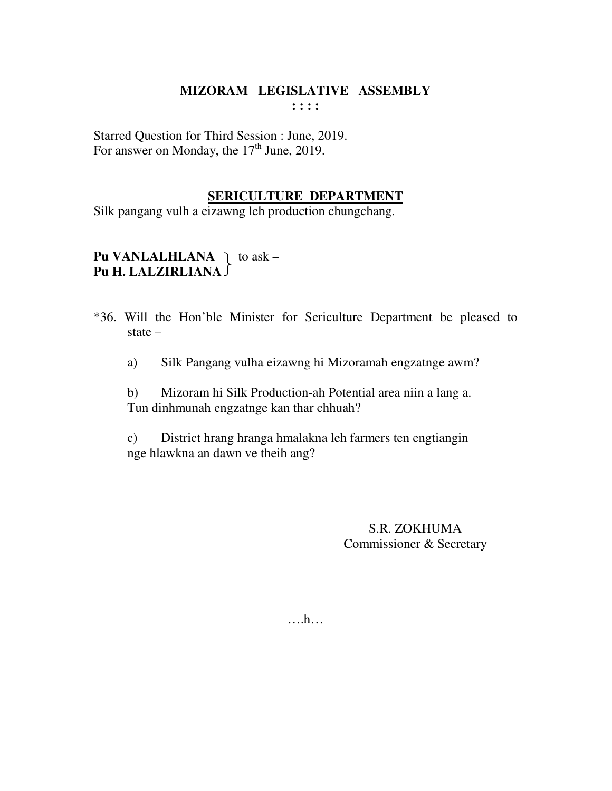#### **MIZORAM LEGISLATIVE ASSEMBLY : : : :**

Starred Question for Third Session : June, 2019. For answer on Monday, the  $17<sup>th</sup>$  June, 2019.

### **SERICULTURE DEPARTMENT**

Silk pangang vulh a eizawng leh production chungchang.

# **Pu VANLALHLANA**  $\uparrow$  to ask – **Pu H. LALZIRLIANA**

- \*36. Will the Hon'ble Minister for Sericulture Department be pleased to state –
	- a) Silk Pangang vulha eizawng hi Mizoramah engzatnge awm?

 b) Mizoram hi Silk Production-ah Potential area niin a lang a. Tun dinhmunah engzatnge kan thar chhuah?

 c) District hrang hranga hmalakna leh farmers ten engtiangin nge hlawkna an dawn ve theih ang?

> S.R. ZOKHUMA Commissioner & Secretary

….h…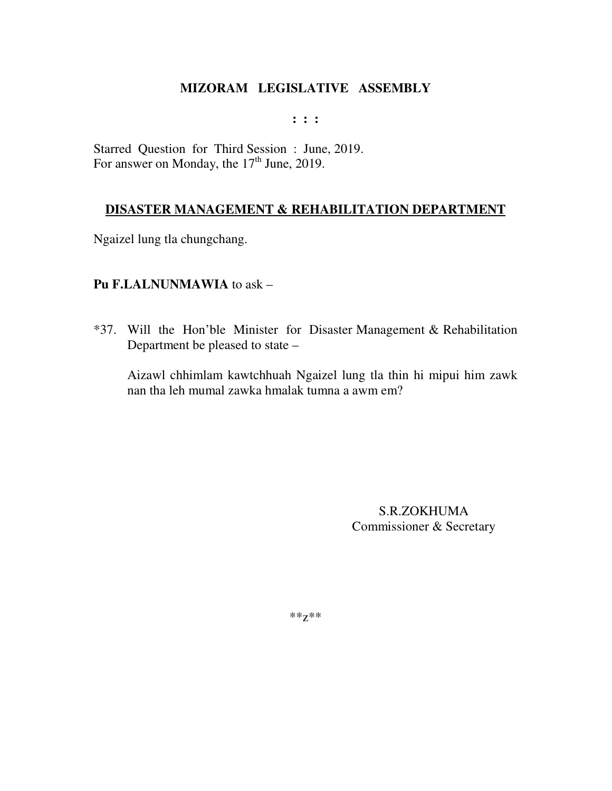#### **: : :**

Starred Question for Third Session : June, 2019. For answer on Monday, the 17<sup>th</sup> June, 2019.

### **DISASTER MANAGEMENT & REHABILITATION DEPARTMENT**

Ngaizel lung tla chungchang.

### **Pu F.LALNUNMAWIA** to ask –

\*37. Will the Hon'ble Minister for Disaster Management & Rehabilitation Department be pleased to state –

Aizawl chhimlam kawtchhuah Ngaizel lung tla thin hi mipui him zawk nan tha leh mumal zawka hmalak tumna a awm em?

> S.R.ZOKHUMA Commissioner & Secretary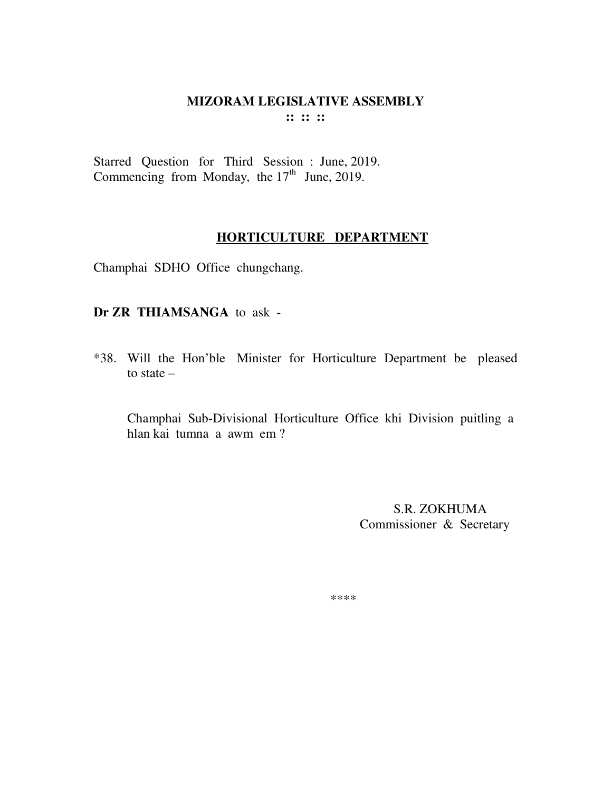#### MIZORAM LEGISLATIVE ASSEMBLY  $\mathbf{11} \mathbf{11} \mathbf{11}$

Starred Question for Third Session : June, 2019. Commencing from Monday, the  $17<sup>th</sup>$  June, 2019.

### HORTICULTURE DEPARTMENT

Champhai SDHO Office chungchang.

#### Dr ZR THIAMSANGA to ask -

\*38. Will the Hon'ble Minister for Horticulture Department be pleased to state  $-$ 

Champhai Sub-Divisional Horticulture Office khi Division puitling a hlan kai tumna a awm em?

> S.R. ZOKHUMA Commissioner & Secretary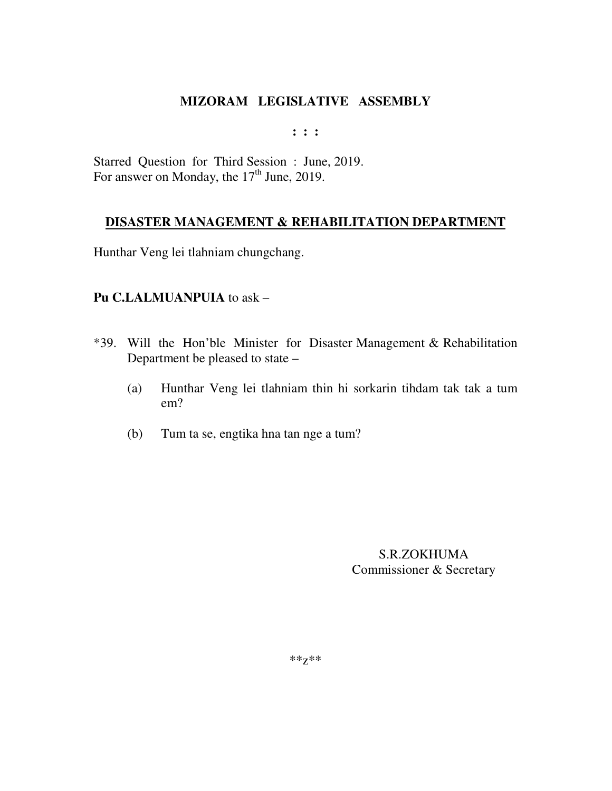**: : :** 

Starred Question for Third Session : June, 2019. For answer on Monday, the 17<sup>th</sup> June, 2019.

### **DISASTER MANAGEMENT & REHABILITATION DEPARTMENT**

Hunthar Veng lei tlahniam chungchang.

### **Pu C.LALMUANPUIA** to ask –

- \*39. Will the Hon'ble Minister for Disaster Management & Rehabilitation Department be pleased to state –
	- (a) Hunthar Veng lei tlahniam thin hi sorkarin tihdam tak tak a tum em?
	- (b) Tum ta se, engtika hna tan nge a tum?

S.R.ZOKHUMA Commissioner & Secretary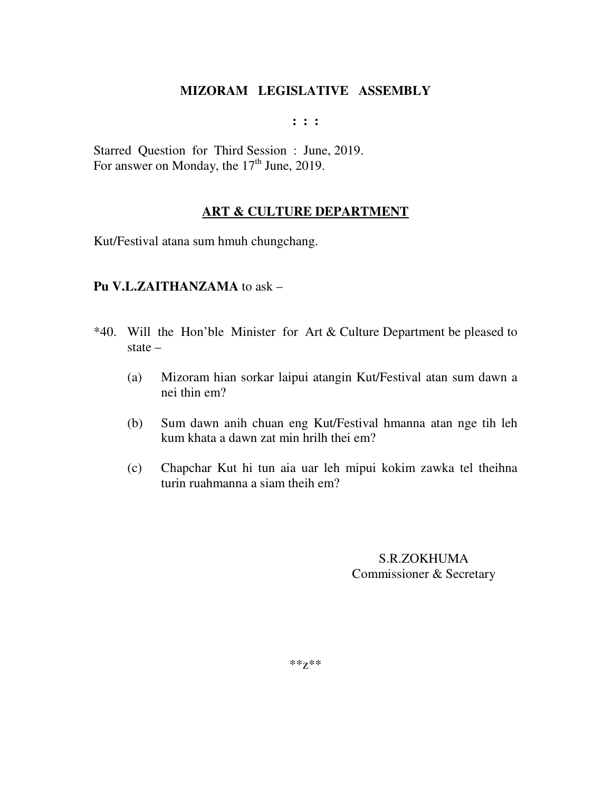**: : :** 

Starred Question for Third Session : June, 2019. For answer on Monday, the  $17<sup>th</sup>$  June, 2019.

### **ART & CULTURE DEPARTMENT**

Kut/Festival atana sum hmuh chungchang.

### **Pu V.L.ZAITHANZAMA** to ask –

- \*40. Will the Hon'ble Minister for Art & Culture Department be pleased to state –
	- (a) Mizoram hian sorkar laipui atangin Kut/Festival atan sum dawn a nei thin em?
	- (b) Sum dawn anih chuan eng Kut/Festival hmanna atan nge tih leh kum khata a dawn zat min hrilh thei em?
	- (c) Chapchar Kut hi tun aia uar leh mipui kokim zawka tel theihna turin ruahmanna a siam theih em?

S.R.ZOKHUMA Commissioner & Secretary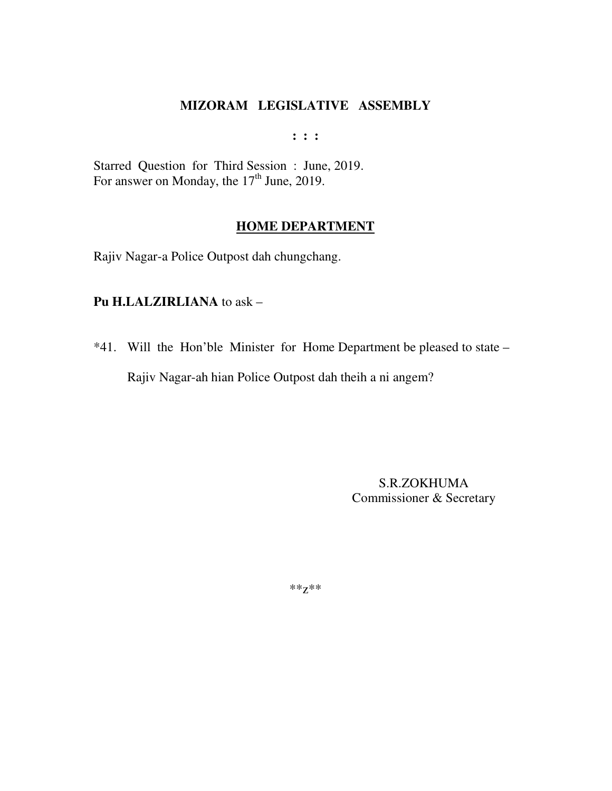**: : :** 

Starred Question for Third Session : June, 2019. For answer on Monday, the  $17<sup>th</sup>$  June, 2019.

### **HOME DEPARTMENT**

Rajiv Nagar-a Police Outpost dah chungchang.

#### **Pu H.LALZIRLIANA** to ask –

\*41. Will the Hon'ble Minister for Home Department be pleased to state – Rajiv Nagar-ah hian Police Outpost dah theih a ni angem?

> S.R.ZOKHUMA Commissioner & Secretary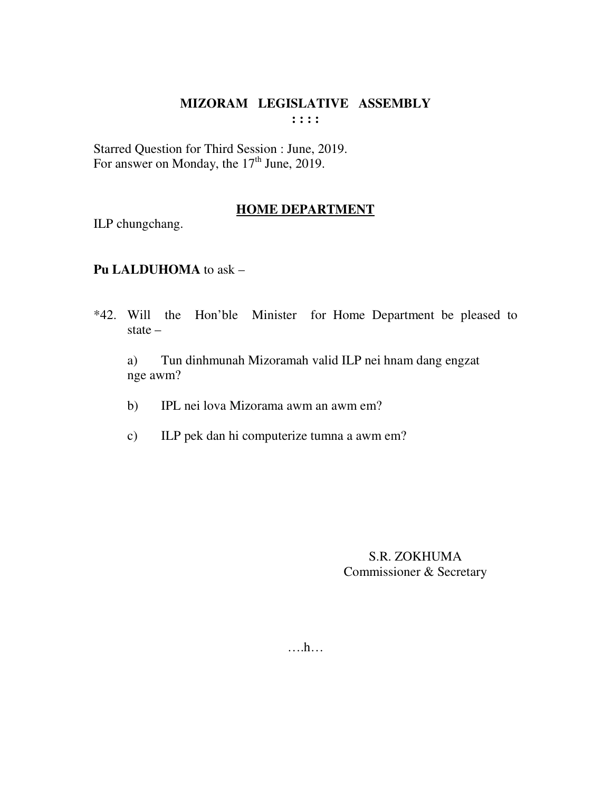#### **MIZORAM LEGISLATIVE ASSEMBLY : : : :**

Starred Question for Third Session : June, 2019. For answer on Monday, the  $17<sup>th</sup>$  June, 2019.

### **HOME DEPARTMENT**

ILP chungchang.

### **Pu LALDUHOMA** to ask –

\*42. Will the Hon'ble Minister for Home Department be pleased to state –

 a) Tun dinhmunah Mizoramah valid ILP nei hnam dang engzat nge awm?

- b) IPL nei lova Mizorama awm an awm em?
- c) ILP pek dan hi computerize tumna a awm em?

S.R. ZOKHUMA Commissioner & Secretary

….h…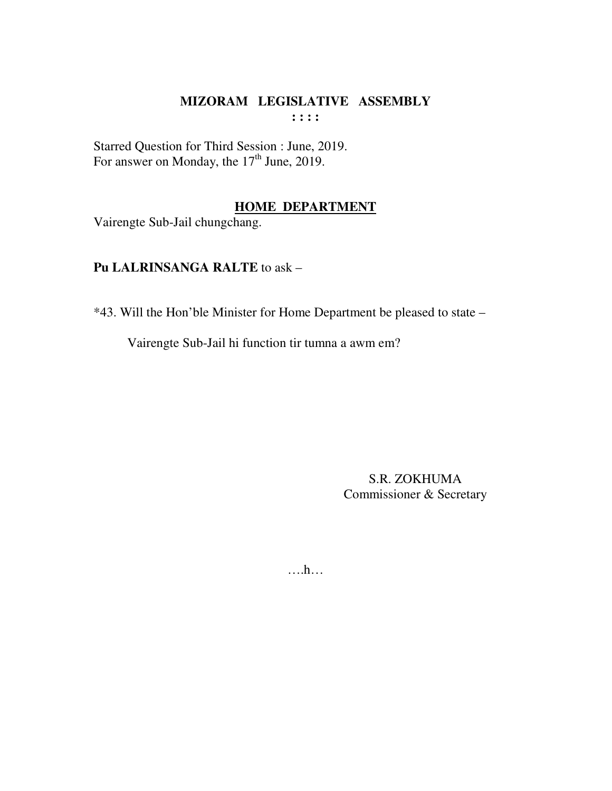## MIZORAM LEGISLATIVE ASSEMBLY  $: : : :$

Starred Question for Third Session : June, 2019.<br>For answer on Monday, the 17<sup>th</sup> June, 2019.

## **HOME DEPARTMENT**

Vairengte Sub-Jail chungchang.

### Pu LALRINSANGA RALTE to ask -

\*43. Will the Hon'ble Minister for Home Department be pleased to state -

Vairengte Sub-Jail hi function tir tumna a awm em?

**S.R. ZOKHUMA** Commissioner & Secretary

 $\dots$ ...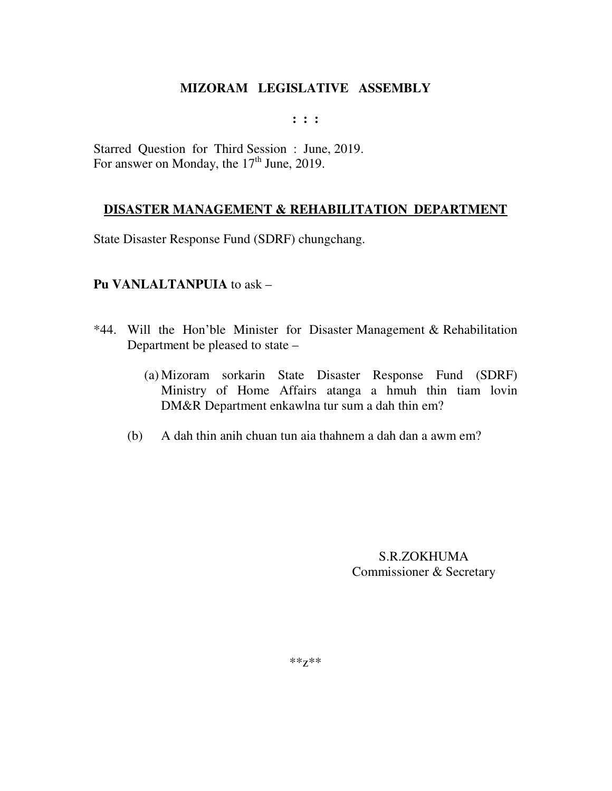#### **: : :**

Starred Question for Third Session : June, 2019. For answer on Monday, the  $17<sup>th</sup>$  June, 2019.

### **DISASTER MANAGEMENT & REHABILITATION DEPARTMENT**

State Disaster Response Fund (SDRF) chungchang.

### **Pu VANLALTANPUIA** to ask –

- \*44. Will the Hon'ble Minister for Disaster Management & Rehabilitation Department be pleased to state –
	- (a) Mizoram sorkarin State Disaster Response Fund (SDRF) Ministry of Home Affairs atanga a hmuh thin tiam lovin DM&R Department enkawlna tur sum a dah thin em?
	- (b) A dah thin anih chuan tun aia thahnem a dah dan a awm em?

S.R.ZOKHUMA Commissioner & Secretary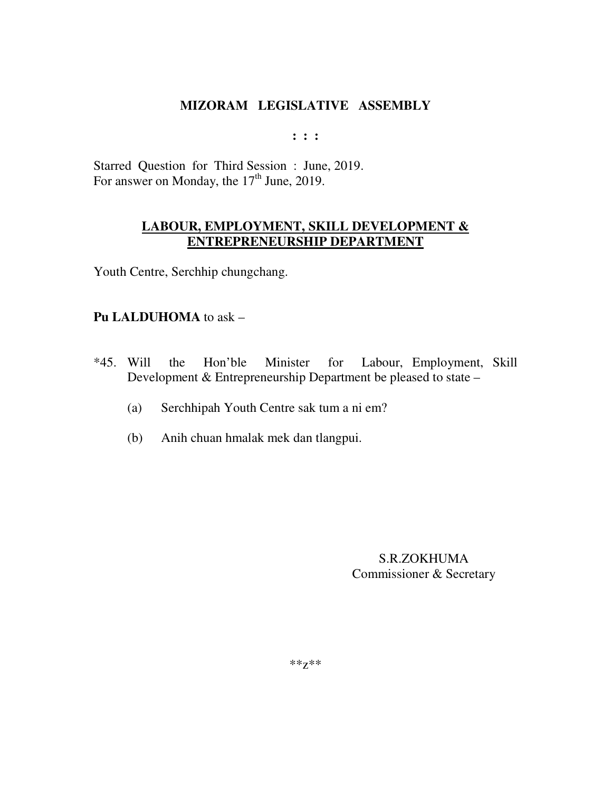**: : :** 

Starred Question for Third Session : June, 2019. For answer on Monday, the  $17<sup>th</sup>$  June, 2019.

### **LABOUR, EMPLOYMENT, SKILL DEVELOPMENT & ENTREPRENEURSHIP DEPARTMENT**

Youth Centre, Serchhip chungchang.

### **Pu LALDUHOMA** to ask –

- \*45. Will the Hon'ble Minister for Labour, Employment, Skill Development & Entrepreneurship Department be pleased to state –
	- (a) Serchhipah Youth Centre sak tum a ni em?
	- (b) Anih chuan hmalak mek dan tlangpui.

S.R.ZOKHUMA Commissioner & Secretary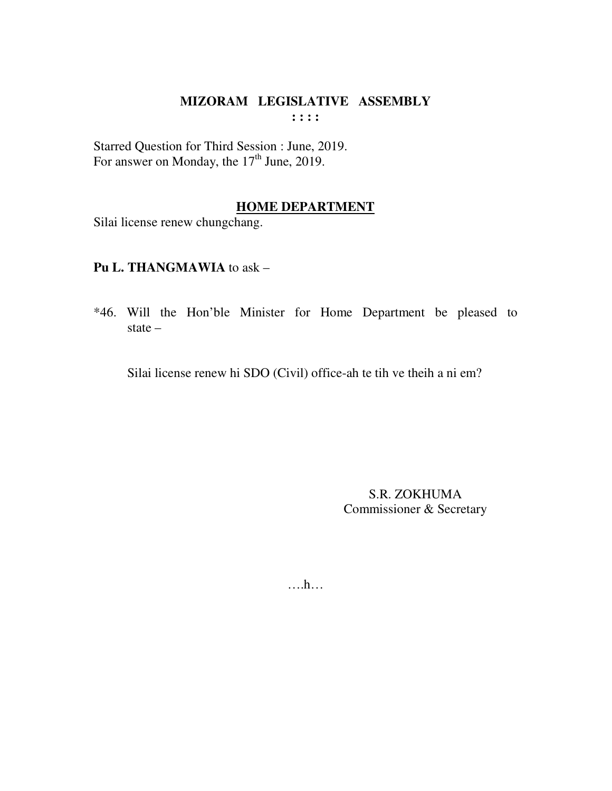#### MIZORAM LEGISLATIVE ASSEMBLY  $: : : :$

Starred Question for Third Session : June, 2019.<br>For answer on Monday, the 17<sup>th</sup> June, 2019.

### **HOME DEPARTMENT**

Silai license renew chungchang.

### Pu L. THANGMAWIA to ask -

\*46. Will the Hon'ble Minister for Home Department be pleased to state  $-$ 

Silai license renew hi SDO (Civil) office-ah te tih ve theih a ni em?

S.R. ZOKHUMA Commissioner & Secretary

 $\dots$ ...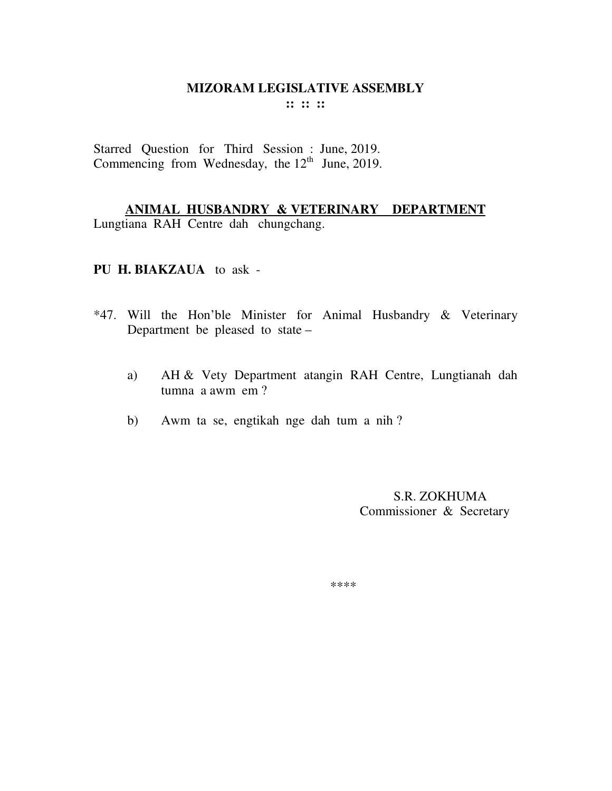#### **MIZORAM LEGISLATIVE ASSEMBLY :: :: ::**

Starred Question for Third Session : June, 2019. Commencing from Wednesday, the  $12<sup>th</sup>$  June, 2019.

**ANIMAL HUSBANDRY & VETERINARY DEPARTMENT**  Lungtiana RAH Centre dah chungchang.

**PU H. BIAKZAUA** to ask -

- \*47. Will the Hon'ble Minister for Animal Husbandry & Veterinary Department be pleased to state –
	- a) AH & Vety Department atangin RAH Centre, Lungtianah dah tumna a awm em ?
	- b) Awm ta se, engtikah nge dah tum a nih ?

 S.R. ZOKHUMA Commissioner & Secretary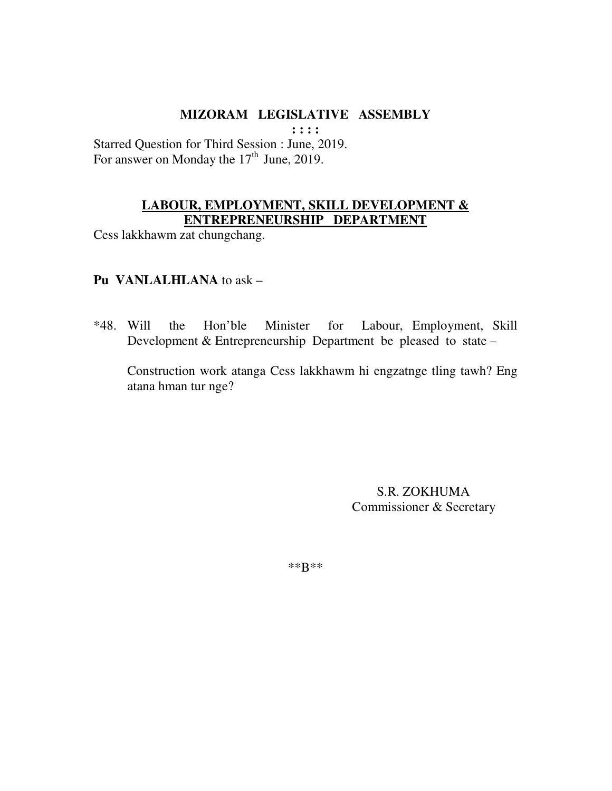**: : : :** 

Starred Question for Third Session : June, 2019. For answer on Monday the  $17<sup>th</sup>$  June, 2019.

## **LABOUR, EMPLOYMENT, SKILL DEVELOPMENT & ENTREPRENEURSHIP DEPARTMENT**

Cess lakkhawm zat chungchang.

### **Pu VANLALHLANA** to ask –

\*48. Will the Hon'ble Minister for Labour, Employment, Skill Development & Entrepreneurship Department be pleased to state –

 Construction work atanga Cess lakkhawm hi engzatnge tling tawh? Eng atana hman tur nge?

> S.R. ZOKHUMA Commissioner & Secretary

\*\*B\*\*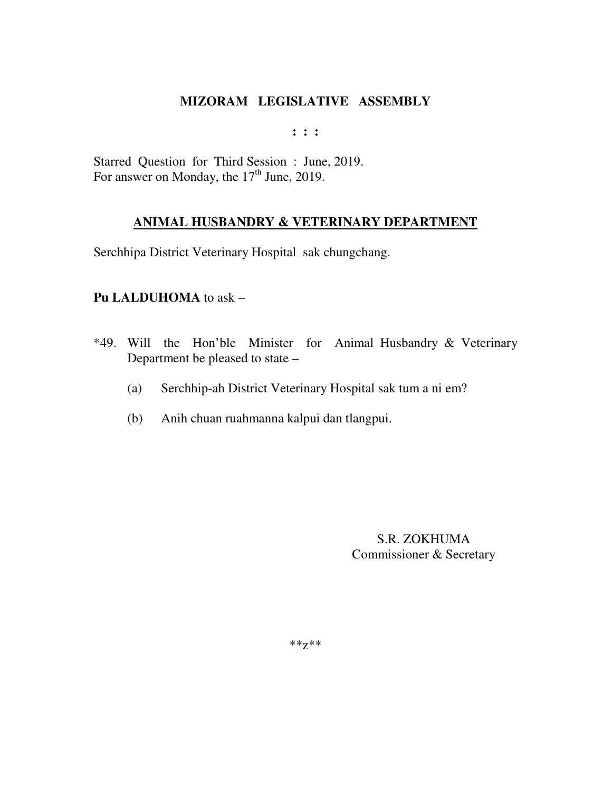**: : :** 

Starred Question for Third Session : June, 2019. For answer on Monday, the 17<sup>th</sup> June, 2019.

## **ANIMAL HUSBANDRY & VETERINARY DEPARTMENT**

Serchhipa District Veterinary Hospital sak chungchang.

### **Pu LALDUHOMA** to ask –

- \*49. Will the Hon'ble Minister for Animal Husbandry & Veterinary Department be pleased to state –
	- (a) Serchhip-ah District Veterinary Hospital sak tum a ni em?
	- (b) Anih chuan ruahmanna kalpui dan tlangpui.

S.R. ZOKHUMA Commissioner & Secretary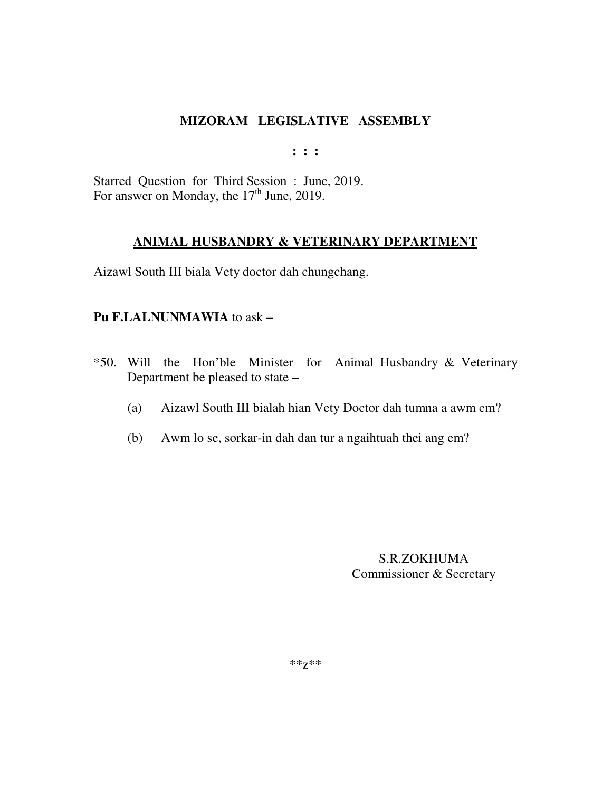**: : :** 

Starred Question for Third Session : June, 2019. For answer on Monday, the  $17<sup>th</sup>$  June, 2019.

### **ANIMAL HUSBANDRY & VETERINARY DEPARTMENT**

Aizawl South III biala Vety doctor dah chungchang.

### **Pu F.LALNUNMAWIA** to ask –

- \*50. Will the Hon'ble Minister for Animal Husbandry & Veterinary Department be pleased to state –
	- (a) Aizawl South III bialah hian Vety Doctor dah tumna a awm em?
	- (b) Awm lo se, sorkar-in dah dan tur a ngaihtuah thei ang em?

S.R.ZOKHUMA Commissioner & Secretary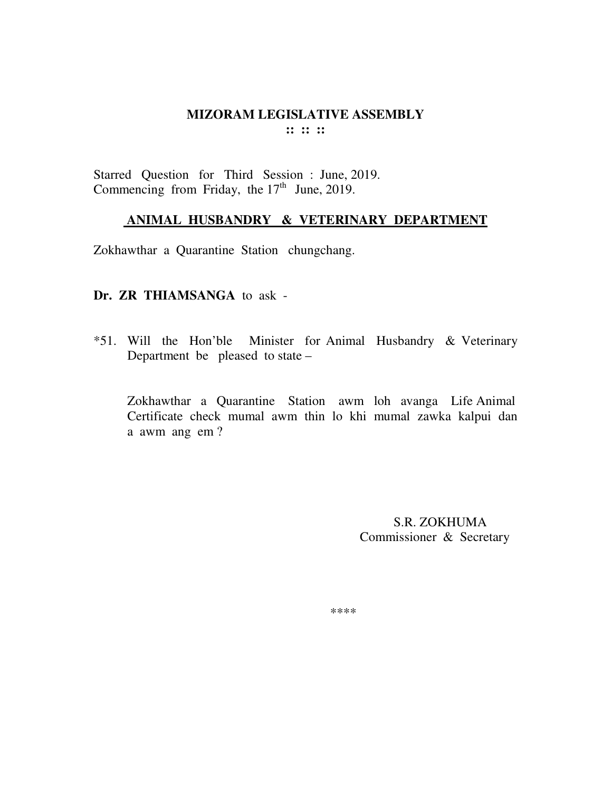## **MIZORAM LEGISLATIVE ASSEMBLY :: :: ::**

Starred Question for Third Session : June, 2019. Commencing from Friday, the  $17<sup>th</sup>$  June, 2019.

### **ANIMAL HUSBANDRY & VETERINARY DEPARTMENT**

Zokhawthar a Quarantine Station chungchang.

#### **Dr. ZR THIAMSANGA** to ask -

\*51. Will the Hon'ble Minister for Animal Husbandry & Veterinary Department be pleased to state –

Zokhawthar a Quarantine Station awm loh avanga Life Animal Certificate check mumal awm thin lo khi mumal zawka kalpui dan a awm ang em ?

> S.R. ZOKHUMA Commissioner & Secretary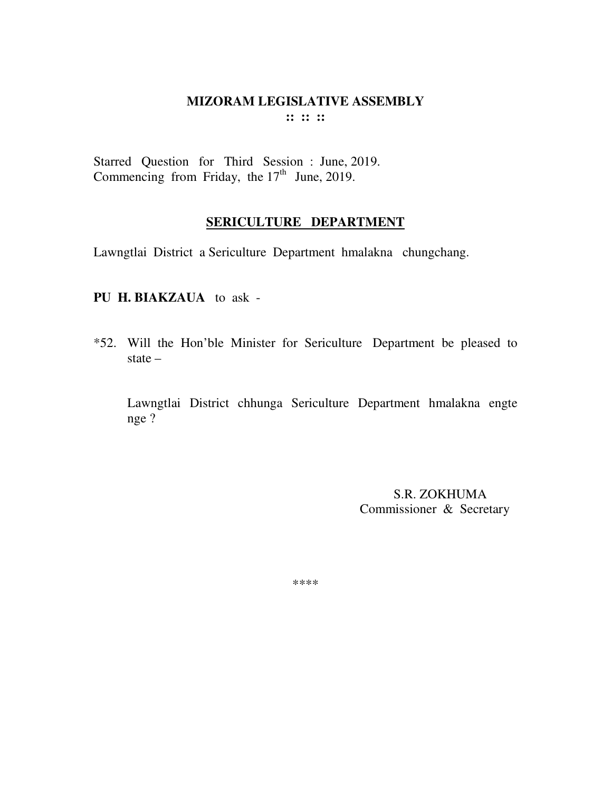#### **MIZORAM LEGISLATIVE ASSEMBLY :: :: ::**

Starred Question for Third Session : June, 2019. Commencing from Friday, the  $17<sup>th</sup>$  June, 2019.

### **SERICULTURE DEPARTMENT**

Lawngtlai District a Sericulture Department hmalakna chungchang.

#### **PU H. BIAKZAUA** to ask -

\*52. Will the Hon'ble Minister for Sericulture Department be pleased to state –

Lawngtlai District chhunga Sericulture Department hmalakna engte nge ?

> S.R. ZOKHUMA Commissioner & Secretary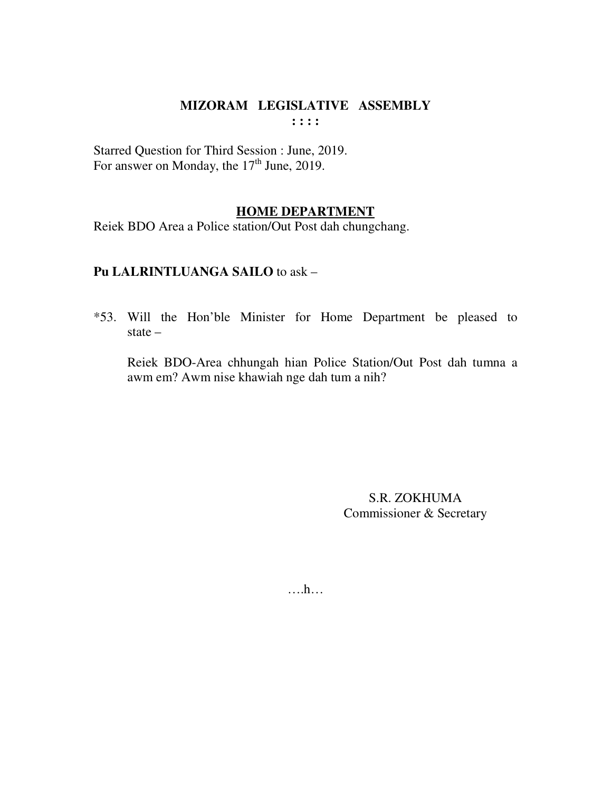Starred Question for Third Session : June, 2019. For answer on Monday, the 17<sup>th</sup> June, 2019.

#### **HOME DEPARTMENT**

Reiek BDO Area a Police station/Out Post dah chungchang.

## Pu LALRINTLUANGA SAILO to ask -

\*53. Will the Hon'ble Minister for Home Department be pleased to state  $-$ 

Reiek BDO-Area chhungah hian Police Station/Out Post dah tumna a awm em? Awm nise khawiah nge dah tum a nih?

> S.R. ZOKHUMA Commissioner & Secretary

 $\dots$ ...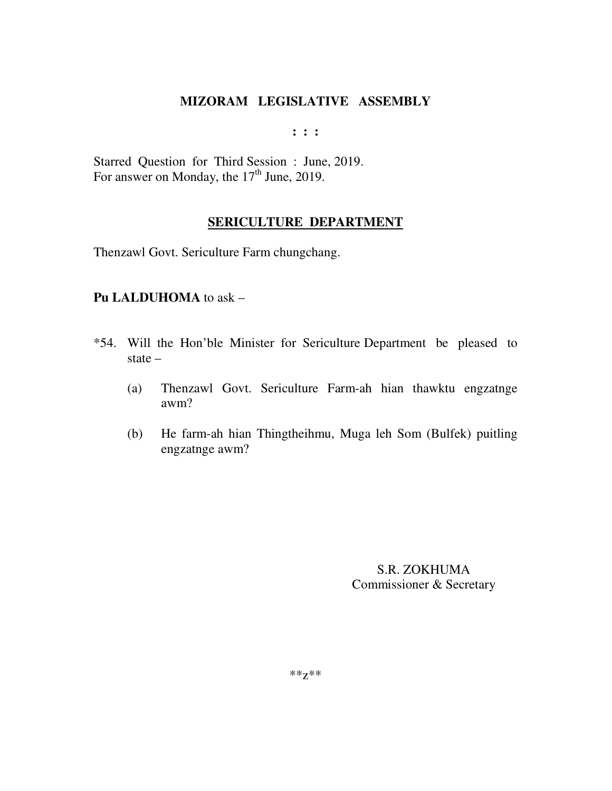**: : :** 

Starred Question for Third Session : June, 2019. For answer on Monday, the 17<sup>th</sup> June, 2019.

### **SERICULTURE DEPARTMENT**

Thenzawl Govt. Sericulture Farm chungchang.

### **Pu LALDUHOMA** to ask –

- \*54. Will the Hon'ble Minister for Sericulture Department be pleased to state –
	- (a) Thenzawl Govt. Sericulture Farm-ah hian thawktu engzatnge awm?
	- (b) He farm-ah hian Thingtheihmu, Muga leh Som (Bulfek) puitling engzatnge awm?

S.R. ZOKHUMA Commissioner & Secretary